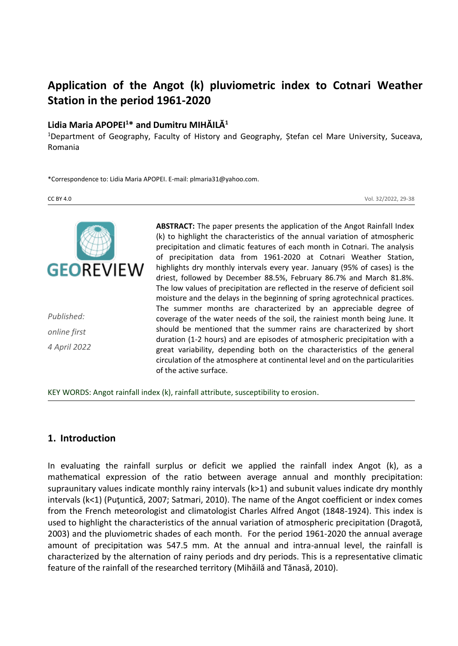# **Application of the Angot (k) pluviometric index to Cotnari Weather Station in the period 1961-2020**

#### **Lidia Maria APOPEI<sup>1</sup>\* and Dumitru MIHĂILĂ<sup>1</sup>**

<sup>1</sup>Department of Geography, Faculty of History and Geography, Ștefan cel Mare University, Suceava, Romania

\*Correspondence to: Lidia Maria APOPEI. E-mail: plmaria31@yahoo.com.

CC BY 4.0 Vol. 32/2022, 29-38



*Published: online first 4 April 2022* **ABSTRACT:** The paper presents the application of the Angot Rainfall Index (k) to highlight the characteristics of the annual variation of atmospheric precipitation and climatic features of each month in Cotnari. The analysis of precipitation data from 1961-2020 at Cotnari Weather Station, highlights dry monthly intervals every year. January (95% of cases) is the driest, followed by December 88.5%, February 86.7% and March 81.8%. The low values of precipitation are reflected in the reserve of deficient soil moisture and the delays in the beginning of spring agrotechnical practices. The summer months are characterized by an appreciable degree of coverage of the water needs of the soil, the rainiest month being June. It should be mentioned that the summer rains are characterized by short duration (1-2 hours) and are episodes of atmospheric precipitation with a great variability, depending both on the characteristics of the general circulation of the atmosphere at continental level and on the particularities of the active surface.

KEY WORDS: Angot rainfall index (k), rainfall attribute, susceptibility to erosion.

## **1. Introduction**

In evaluating the rainfall surplus or deficit we applied the rainfall index Angot (k), as a mathematical expression of the ratio between average annual and monthly precipitation: supraunitary values indicate monthly rainy intervals (k>1) and subunit values indicate dry monthly intervals (k<1) (Puţuntică, 2007; Satmari, 2010). The name of the Angot coefficient or index comes from the French meteorologist and climatologist Charles Alfred Angot (1848-1924). This index is used to highlight the characteristics of the annual variation of atmospheric precipitation (Dragotă, 2003) and the pluviometric shades of each month. For the period 1961-2020 the annual average amount of precipitation was 547.5 mm. At the annual and intra-annual level, the rainfall is characterized by the alternation of rainy periods and dry periods. This is a representative climatic feature of the rainfall of the researched territory (Mihăilă and Tănasă, 2010).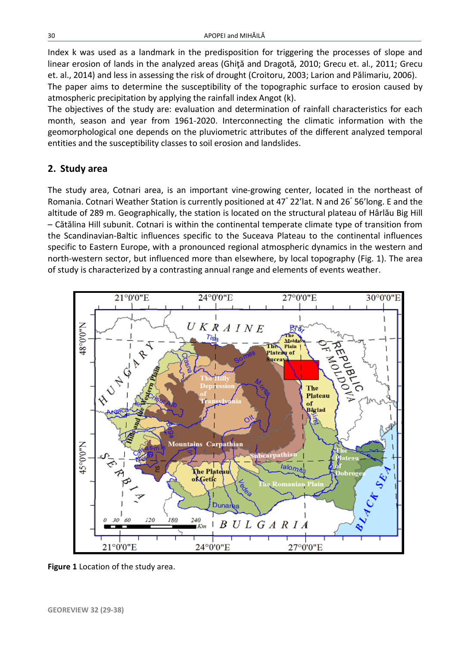Index k was used as a landmark in the predisposition for triggering the processes of slope and linear erosion of lands in the analyzed areas (Ghiţă and Dragotă, 2010; Grecu et. al., 2011; Grecu et. al., 2014) and less in assessing the risk of drought (Croitoru, 2003; Larion and Pălimariu, 2006).

The paper aims to determine the susceptibility of the topographic surface to erosion caused by atmospheric precipitation by applying the rainfall index Angot (k).

The objectives of the study are: evaluation and determination of rainfall characteristics for each month, season and year from 1961-2020. Interconnecting the climatic information with the geomorphological one depends on the pluviometric attributes of the different analyzed temporal entities and the susceptibility classes to soil erosion and landslides.

## **2. Study area**

The study area, Cotnari area, is an important vine-growing center, located in the northeast of Romania. Cotnari Weather Station is currently positioned at 47° 22'lat. N and 26° 56'long. E and the altitude of 289 m. Geographically, the station is located on the structural plateau of Hârlău Big Hill – Cătălina Hill subunit. Cotnari is within the continental temperate climate type of transition from the Scandinavian-Baltic influences specific to the Suceava Plateau to the continental influences specific to Eastern Europe, with a pronounced regional atmospheric dynamics in the western and north-western sector, but influenced more than elsewhere, by local topography (Fig. 1). The area of study is characterized by a contrasting annual range and elements of events weather.



**Figure 1** Location of the study area.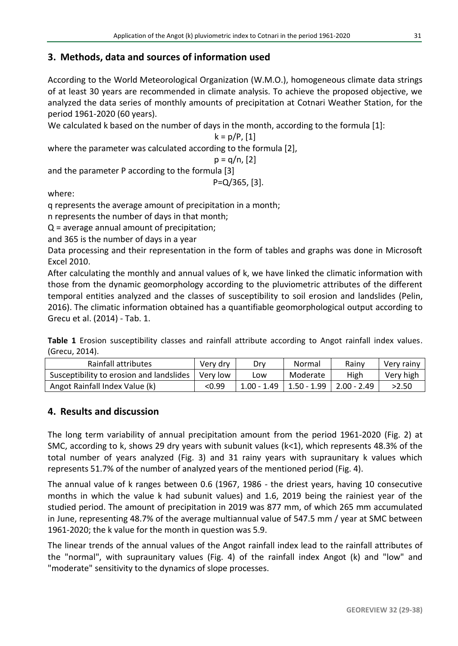# **3. Methods, data and sources of information used**

According to the World Meteorological Organization (W.M.O.), homogeneous climate data strings of at least 30 years are recommended in climate analysis. To achieve the proposed objective, we analyzed the data series of monthly amounts of precipitation at Cotnari Weather Station, for the period 1961-2020 (60 years).

We calculated k based on the number of days in the month, according to the formula [1]:

$$
k = p/P, [1]
$$

where the parameter was calculated according to the formula [2],

$$
p = q/n, [2]
$$

and the parameter P according to the formula [3]

P=Q/365, [3].

where:

q represents the average amount of precipitation in a month;

n represents the number of days in that month;

Q = average annual amount of precipitation;

and 365 is the number of days in a year

Data processing and their representation in the form of tables and graphs was done in Microsoft Excel 2010.

After calculating the monthly and annual values of k, we have linked the climatic information with those from the dynamic geomorphology according to the pluviometric attributes of the different temporal entities analyzed and the classes of susceptibility to soil erosion and landslides (Pelin, 2016). The climatic information obtained has a quantifiable geomorphological output according to Grecu et al. (2014) - Tab. 1.

**Table 1** Erosion susceptibility classes and rainfall attribute according to Angot rainfall index values. (Grecu, 2014).

| Rainfall attributes                      | Verv drv | Drv         | Normal        | Rainv         | Very rainy |
|------------------------------------------|----------|-------------|---------------|---------------|------------|
| Susceptibility to erosion and landslides | Very low | -ow         | Moderate      | High          | Very high  |
| Angot Rainfall Index Value (k)           | <0.99    | 1.00 - 1.49 | $1.50 - 1.99$ | $2.00 - 2.49$ | >2.50      |

## **4. Results and discussion**

The long term variability of annual precipitation amount from the period 1961-2020 (Fig. 2) at SMC, according to k, shows 29 dry years with subunit values (k<1), which represents 48.3% of the total number of years analyzed (Fig. 3) and 31 rainy years with supraunitary k values which represents 51.7% of the number of analyzed years of the mentioned period (Fig. 4).

The annual value of k ranges between 0.6 (1967, 1986 - the driest years, having 10 consecutive months in which the value k had subunit values) and 1.6, 2019 being the rainiest year of the studied period. The amount of precipitation in 2019 was 877 mm, of which 265 mm accumulated in June, representing 48.7% of the average multiannual value of 547.5 mm / year at SMC between 1961-2020; the k value for the month in question was 5.9.

The linear trends of the annual values of the Angot rainfall index lead to the rainfall attributes of the "normal", with supraunitary values (Fig. 4) of the rainfall index Angot (k) and "low" and "moderate" sensitivity to the dynamics of slope processes.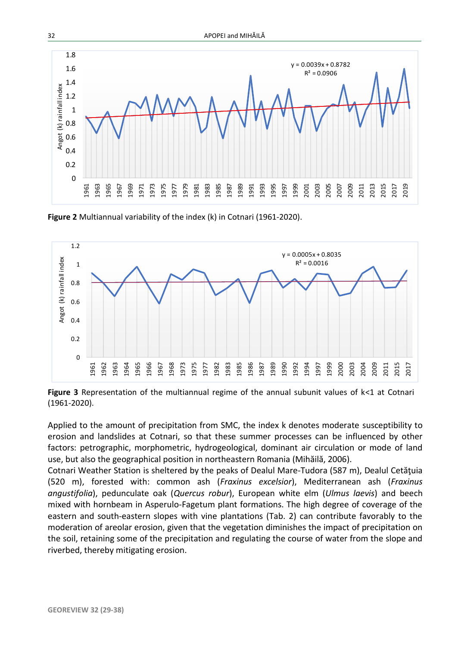

**Figure 2** Multiannual variability of the index (k) in Cotnari (1961-2020).



**Figure 3** Representation of the multiannual regime of the annual subunit values of k<1 at Cotnari (1961-2020).

Applied to the amount of precipitation from SMC, the index k denotes moderate susceptibility to erosion and landslides at Cotnari, so that these summer processes can be influenced by other factors: petrographic, morphometric, hydrogeological, dominant air circulation or mode of land use, but also the geographical position in northeastern Romania (Mihăilă, 2006).

Cotnari Weather Station is sheltered by the peaks of Dealul Mare-Tudora (587 m), Dealul Cetăţuia (520 m), forested with: common ash (*Fraxinus excelsior*), Mediterranean ash (*Fraxinus angustifolia*), pedunculate oak (*Quercus robur*), European white elm (*Ulmus laevis*) and beech mixed with hornbeam in Asperulo-Fagetum plant formations. The high degree of coverage of the eastern and south-eastern slopes with vine plantations (Tab. 2) can contribute favorably to the moderation of areolar erosion, given that the vegetation diminishes the impact of precipitation on the soil, retaining some of the precipitation and regulating the course of water from the slope and riverbed, thereby mitigating erosion.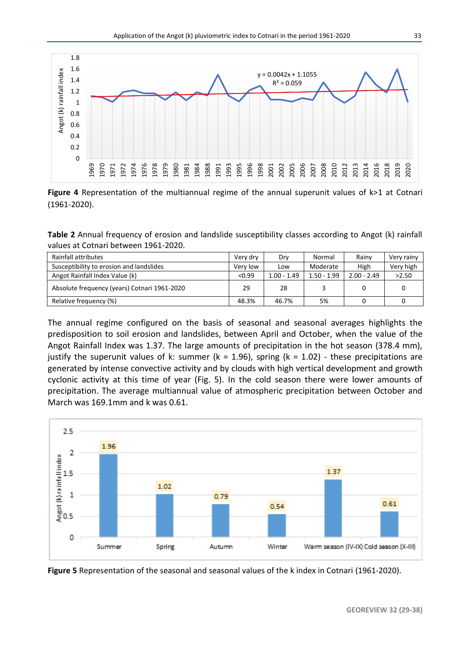

**Figure 4** Representation of the multiannual regime of the annual superunit values of k>1 at Cotnari (1961-2020).

**Table 2** Annual frequency of erosion and landslide susceptibility classes according to Angot (k) rainfall values at Cotnari between 1961-2020.

| Rainfall attributes                          | Very dry | Drv           | Normal        | Rainv         | Very rainy |
|----------------------------------------------|----------|---------------|---------------|---------------|------------|
| Susceptibility to erosion and landslides     | Very low | Low           | Moderate      | High          | Very high  |
| Angot Rainfall Index Value (k)               | < 0.99   | $1.00 - 1.49$ | $1.50 - 1.99$ | $2.00 - 2.49$ | >2.50      |
| Absolute frequency (years) Cotnari 1961-2020 | 29       | 28            |               |               |            |
| Relative frequency (%)                       | 48.3%    | 46.7%         | 5%            |               |            |

The annual regime configured on the basis of seasonal and seasonal averages highlights the predisposition to soil erosion and landslides, between April and October, when the value of the Angot Rainfall Index was 1.37. The large amounts of precipitation in the hot season (378.4 mm), justify the superunit values of k: summer ( $k = 1.96$ ), spring ( $k = 1.02$ ) - these precipitations are generated by intense convective activity and by clouds with high vertical development and growth cyclonic activity at this time of year (Fig. 5). In the cold season there were lower amounts of precipitation. The average multiannual value of atmospheric precipitation between October and March was 169.1mm and k was 0.61.



**Figure 5** Representation of the seasonal and seasonal values of the k index in Cotnari (1961-2020).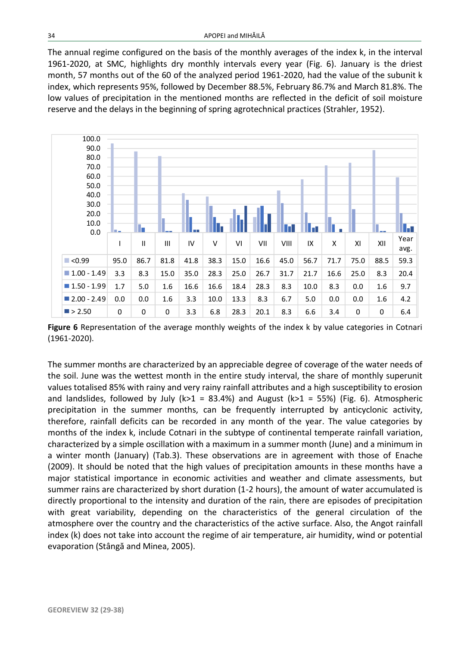The annual regime configured on the basis of the monthly averages of the index k, in the interval 1961-2020, at SMC, highlights dry monthly intervals every year (Fig. 6). January is the driest month, 57 months out of the 60 of the analyzed period 1961-2020, had the value of the subunit k index, which represents 95%, followed by December 88.5%, February 86.7% and March 81.8%. The low values of precipitation in the mentioned months are reflected in the deficit of soil moisture reserve and the delays in the beginning of spring agrotechnical practices (Strahler, 1952).



**Figure 6** Representation of the average monthly weights of the index k by value categories in Cotnari (1961-2020).

The summer months are characterized by an appreciable degree of coverage of the water needs of the soil. June was the wettest month in the entire study interval, the share of monthly superunit values totalised 85% with rainy and very rainy rainfall attributes and a high susceptibility to erosion and landslides, followed by July (k>1 = 83.4%) and August (k>1 = 55%) (Fig. 6). Atmospheric precipitation in the summer months, can be frequently interrupted by anticyclonic activity, therefore, rainfall deficits can be recorded in any month of the year. The value categories by months of the index k, include Cotnari in the subtype of continental temperate rainfall variation, characterized by a simple oscillation with a maximum in a summer month (June) and a minimum in a winter month (January) (Tab.3). These observations are in agreement with those of Enache (2009). It should be noted that the high values of precipitation amounts in these months have a major statistical importance in economic activities and weather and climate assessments, but summer rains are characterized by short duration (1-2 hours), the amount of water accumulated is directly proportional to the intensity and duration of the rain, there are episodes of precipitation with great variability, depending on the characteristics of the general circulation of the atmosphere over the country and the characteristics of the active surface. Also, the Angot rainfall index (k) does not take into account the regime of air temperature, air humidity, wind or potential evaporation (Stângă and Minea, 2005).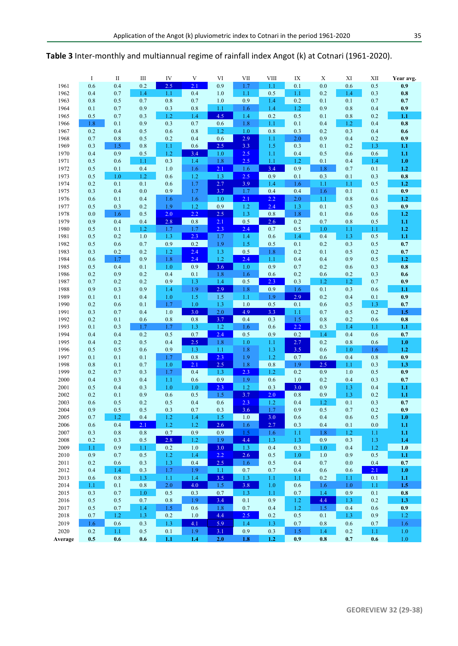|      | I   | $\rm II$ | III | IV  | V          | VI  | VII     | <b>VIII</b> | IX  | X   | XI  | XII | Year avg. |
|------|-----|----------|-----|-----|------------|-----|---------|-------------|-----|-----|-----|-----|-----------|
| 1961 | 0.6 | 0.4      | 0.2 | 2.5 | 2.1        | 0.9 | 1.7     | 1.1         | 0.1 | 0.0 | 0.6 | 0.5 | 0.9       |
| 1962 | 0.4 | 0.7      | 1.4 | 1.1 | 0.4        | 1.0 | 1.1     | 0.5         | 1.1 | 0.2 | 1.4 | 0.3 | 0.8       |
| 1963 | 0.8 | 0.5      | 0.7 | 0.8 | 0.7        | 1.0 | 0.9     | 1.4         | 0.2 | 0.1 | 0.1 | 0.7 | 0.7       |
| 1964 | 0.1 | 0.7      | 0.9 | 0.3 | $0.8\,$    | 1.1 | 1.6     | 1.4         | 1.2 | 0.9 | 0.8 | 0.4 | 0.9       |
| 1965 | 0.5 | 0.7      | 0.3 | 1.2 | 1.4        | 4.5 | 1.4     | 0.2         | 0.5 | 0.1 | 0.8 | 0.2 | 1.1       |
| 1966 | 1.8 | 0.1      | 0.9 | 0.3 | 0.7        | 0.6 | 1.8     | 1.1         | 0.1 | 0.4 | 1.2 | 0.4 | 0.8       |
| 1967 | 0.2 | 0.4      | 0.5 | 0.6 | 0.8        | 1.2 | 1.0     | 0.8         | 0.3 | 0.2 | 0.3 | 0.4 | 0.6       |
| 1968 | 0.7 | 0.8      | 0.5 | 0.2 | 0.4        | 0.6 | 2.9     | 1.1         | 2.0 | 0.9 | 0.4 | 0.2 | 0.9       |
| 1969 | 0.3 | 1.5      | 0.8 | 1.1 | 0.6        | 2.5 | 3.3     | 1.5         | 0.3 | 0.1 | 0.2 | 1.3 | 1.1       |
| 1970 | 0.4 | 0.9      | 0.5 | 1.2 | 3.4        | 1.0 | 2.5     | 1.1         | 0.4 | 0.5 | 0.6 | 0.6 | 1.1       |
| 1971 | 0.5 | 0.6      | 1.1 | 0.3 | 1.4        | 1.8 | 2.5     | 1.1         | 1.2 | 0.1 | 0.4 | 1.4 | 1.0       |
| 1972 | 0.5 | 0.1      | 0.4 | 1.0 | 1.6        | 2.1 | 1.6     | 3.4         | 0.9 | 1.8 | 0.7 | 0.1 | 1.2       |
|      |     | 1.0      | 1.2 | 0.6 |            | 1.3 | 2.5     | 0.9         | 0.1 | 0.3 | 0.1 | 0.3 | 0.8       |
| 1973 | 0.5 |          |     |     | 1.2<br>1.7 | 2.7 | 3.9     |             |     |     |     | 0.5 |           |
| 1974 | 0.2 | 0.1      | 0.1 | 0.6 |            |     |         | 1.4         | 1.6 | 1.1 | 1.1 |     | 1.2       |
| 1975 | 0.3 | 0.4      | 0.0 | 0.9 | 1.7        | 3.7 | 1.7     | 0.4         | 0.4 | 1.6 | 0.1 | 0.1 | 0.9       |
| 1976 | 0.6 | 0.1      | 0.4 | 1.6 | 1.6        | 1.0 | 2.1     | 2.2         | 2.0 | 1.1 | 0.8 | 0.6 | 1.2       |
| 1977 | 0.5 | 0.3      | 0.2 | 1.9 | 1.2        | 0.9 | 1.2     | 2.4         | 1.3 | 0.1 | 0.5 | 0.3 | 0.9       |
| 1978 | 0.0 | 1.6      | 0.5 | 2.0 | 2.2        | 2.5 | 1.3     | $0.8\,$     | 1.8 | 0.1 | 0.6 | 0.6 | 1.2       |
| 1979 | 0.9 | 0.4      | 0.4 | 2.8 | 0.8        | 2.1 | 0.5     | 2.6         | 0.2 | 0.7 | 0.8 | 0.5 | 1.1       |
| 1980 | 0.5 | 0.1      | 1.2 | 1.7 | 1.7        | 2.3 | 2.4     | 0.7         | 0.5 | 1.0 | 1.1 | 1.1 | 1.2       |
| 1981 | 0.5 | 0.2      | 1.0 | 1.3 | 2.3        | 1.7 | 1.4     | 0.6         | 1.4 | 0.4 | 1.3 | 0.5 | 1.1       |
| 1982 | 0.5 | 0.6      | 0.7 | 0.9 | 0.2        | 1.9 | 1.5     | 0.5         | 0.1 | 0.2 | 0.3 | 0.5 | 0.7       |
| 1983 | 0.3 | 0.2      | 0.2 | 1.2 | 2.4        | 1.3 | $0.5\,$ | 1.8         | 0.2 | 0.1 | 0.5 | 0.2 | 0.7       |
| 1984 | 0.6 | 1.7      | 0.9 | 1.8 | 2.4        | 1.2 | 2.4     | 1.1         | 0.4 | 0.4 | 0.9 | 0.5 | 1.2       |
| 1985 | 0.5 | 0.4      | 0.1 | 1.0 | 0.9        | 3.6 | 1.0     | 0.9         | 0.7 | 0.2 | 0.6 | 0.3 | 0.8       |
| 1986 | 0.2 | 0.9      | 0.2 | 0.4 | 0.1        | 1.8 | 1.6     | 0.6         | 0.2 | 0.6 | 0.2 | 0.3 | 0.6       |
| 1987 | 0.7 | 0.2      | 0.2 | 0.9 | 1.3        | 1.4 | 0.5     | 2.3         | 0.3 | 1.2 | 1.2 | 0.7 | 0.9       |
| 1988 | 0.9 | 0.3      | 0.9 | 1.4 | 1.9        | 2.9 | 1.8     | 0.9         | 1.6 | 0.1 | 0.3 | 0.6 | 1.1       |
| 1989 | 0.1 | 0.1      | 0.4 | 1.0 | 1.5        | 1.5 | 1.1     | 1.9         | 2.9 | 0.2 | 0.4 | 0.1 | 0.9       |
| 1990 | 0.2 | 0.6      | 0.1 | 1.7 | $1.0\,$    | 1.3 | $1.0$   | $0.5\,$     | 0.1 | 0.6 | 0.5 | 1.3 | 0.7       |
| 1991 | 0.3 | 0.7      | 0.4 | 1.0 | 3.0        | 2.0 | 4.9     | 3.3         | 1.1 | 0.7 | 0.5 | 0.2 | 1.5       |
| 1992 | 0.2 | 0.1      | 0.6 | 0.8 | $0.8\,$    | 3.7 | 0.4     | 0.3         | 1.5 | 0.8 | 0.2 | 0.6 | 0.8       |
| 1993 | 0.1 | 0.3      | 1.7 | 1.7 | 1.3        | 1.2 | 1.6     | 0.6         | 2.2 | 0.3 | 1.4 | 1.1 | 1.1       |
|      |     | 0.4      | 0.2 | 0.5 | 0.7        | 2.4 | 0.5     | 0.9         | 0.2 |     | 0.4 | 0.6 |           |
| 1994 | 0.4 |          |     |     |            |     |         |             |     | 1.4 |     |     | 0.7       |
| 1995 | 0.4 | 0.2      | 0.5 | 0.4 | 2.5        | 1.8 | 1.0     | 1.1         | 2.7 | 0.2 | 0.8 | 0.6 | 1.0       |
| 1996 | 0.5 | 0.5      | 0.6 | 0.9 | 1.3        | 1.1 | 1.8     | 1.3         | 3.5 | 0.6 | 1.0 | 1.6 | 1.2       |
| 1997 | 0.1 | 0.1      | 0.1 | 1.7 | $\rm 0.8$  | 2.3 | 1.9     | 1.2         | 0.7 | 0.6 | 0.4 | 0.8 | 0.9       |
| 1998 | 0.8 | 0.1      | 0.7 | 1.0 | 2.1        | 2.5 | 1.8     | 0.8         | 1.9 | 2.5 | 1.1 | 0.3 | 1.3       |
| 1999 | 0.2 | 0.7      | 0.3 | 1.7 | 0.4        | 1.3 | 2.3     | 1.2         | 0.2 | 0.9 | 1.0 | 0.5 | 0.9       |
| 2000 | 0.4 | 0.3      | 0.4 | 1.1 | 0.6        | 0.9 | 1.9     | 0.6         | 1.0 | 0.2 | 0.4 | 0.3 | 0.7       |
| 2001 | 0.5 | 0.4      | 0.3 | 1.0 | 1.0        | 2.3 | 1.2     | 0.3         | 3.0 | 0.9 | 1.3 | 0.4 | 1.1       |
| 2002 | 0.2 | 0.1      | 0.9 | 0.6 | 0.5        | 1.5 | 3.7     | 2.0         | 0.8 | 0.9 | 1.3 | 0.2 | 1.1       |
| 2003 | 0.6 | 0.5      | 0.2 | 0.5 | 0.4        | 0.6 | 2.3     | 1.2         | 0.4 | 1.2 | 0.1 | 0.3 | 0.7       |
| 2004 | 0.9 | 0.5      | 0.5 | 0.3 | 0.7        | 0.3 | 3.6     | 1.7         | 0.9 | 0.5 | 0.7 | 0.2 | 0.9       |
| 2005 | 0.7 | 1.2      | 0.4 | 1.2 | 1.4        | 1.5 | 1.0     | 3.0         | 0.6 | 0.4 | 0.6 | 0.5 | 1.0       |
| 2006 | 0.6 | 0.4      | 2.1 | 1.2 | 1.2        | 2.6 | 1.6     | 2.7         | 0.3 | 0.4 | 0.1 | 0.0 | 1.1       |
| 2007 | 0.3 | 0.8      | 0.8 | 0.7 | 0.9        | 0.9 | 1.5     | 1.6         | 1.1 | 1.8 | 1.2 | 1.1 | 1.1       |
| 2008 | 0.2 | 0.3      | 0.5 | 2.8 | 1.2        | 1.9 | 4.4     | 1.3         | 1.3 | 0.9 | 0.3 | 1.3 | 1.4       |
| 2009 | 1.1 | 0.9      | 1.1 | 0.2 | $1.0\,$    | 3.0 | 1.3     | 0.4         | 0.3 | 1.0 | 0.4 | 1.2 | 1.0       |
| 2010 | 0.9 | 0.7      | 0.5 | 1.2 | 1.4        | 2.2 | 2.6     | 0.5         | 1.0 | 1.0 | 0.9 | 0.5 | 1.1       |
| 2011 | 0.2 | 0.6      | 0.3 | 1.3 | 0.4        | 2.5 | 1.6     | 0.5         | 0.4 | 0.7 | 0.0 | 0.4 | 0.7       |
| 2012 | 0.4 | 1.4      | 0.3 | 1.7 | 1.9        | 1.1 | 0.7     | 0.7         | 0.4 | 0.6 | 0.6 | 2.1 | 1.0       |
| 2013 | 0.6 | 0.8      | 1.3 | 1.1 | 1.4        | 3.5 | 1.3     | 1.1         | 1.1 | 0.2 | 1.1 | 0.1 | 1.1       |
| 2014 | 1.1 | 0.1      | 0.8 | 2.0 | 4.0        | 1.5 | 3.8     | 1.0         | 0.6 | 1.6 | 1.0 | 1.1 | 1.5       |
| 2015 | 0.3 | 0.7      | 1.0 | 0.5 | 0.3        | 0.7 | 1.3     | 1.1         | 0.7 | 1.4 | 0.9 | 0.1 | $0.8\,$   |
| 2016 | 0.5 | 0.5      | 0.7 | 0.8 | 1.9        | 3.4 | 0.1     | 0.9         | 1.2 | 4.4 | 1.3 | 0.2 | 1.3       |
| 2017 | 0.5 | 0.7      | 1.4 | 1.5 | 0.6        | 1.8 | 0.7     | 0.4         | 1.2 | 1.5 | 0.4 | 0.6 | 0.9       |
| 2018 | 0.7 | 1.2      | 1.3 | 0.2 | 1.0        | 4.4 | 2.5     | 0.2         | 0.5 | 0.1 | 1.3 | 0.9 | 1.2       |
|      |     |          |     |     | 4.1        |     |         |             |     |     |     |     |           |
| 2019 | 1.6 | 0.6      | 0.3 | 1.3 |            | 5.9 | 1.4     | 1.3         | 0.7 | 0.8 | 0.6 | 0.7 | 1.6       |
| 2020 | 0.2 | 1.1      | 0.5 | 0.1 | 1.9        | 3.1 | 0.9     | 0.3         | 1.5 | 1.4 | 0.2 | 1.1 | 1.0       |

**Average 0.5 0.6 0.6 1.1 1.4 2.0 1.8 1.2 0.9 0.8 0.7 0.6** 1.0

**Table 3** Inter-monthly and multiannual regime of rainfall index Angot (k) at Cotnari (1961-2020).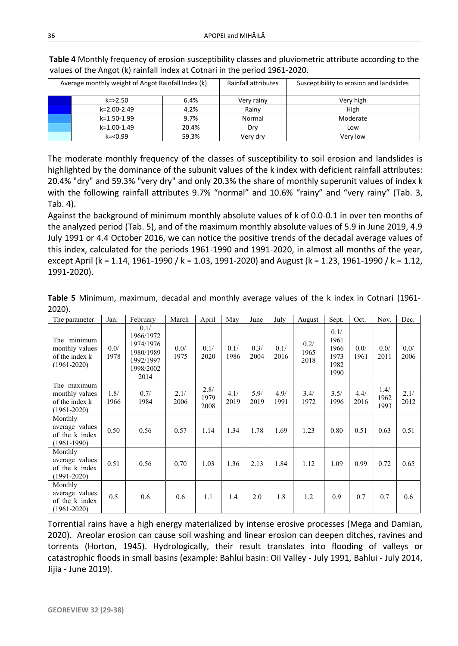| Average monthly weight of Angot Rainfall Index (k) |       | Rainfall attributes | Susceptibility to erosion and landslides |
|----------------------------------------------------|-------|---------------------|------------------------------------------|
| $k = > 2.50$                                       | 6.4%  | Very rainy          | Very high                                |
| $k=2.00-2.49$                                      | 4.2%  | Rainv               | High                                     |
| k=1.50-1.99                                        | 9.7%  | Normal              | Moderate                                 |
| k=1.00-1.49                                        | 20.4% | Drv                 | Low                                      |
| $k = 0.99$                                         | 59.3% | Very dry            | Very low                                 |

**Table 4** Monthly frequency of erosion susceptibility classes and pluviometric attribute according to the values of the Angot (k) rainfall index at Cotnari in the period 1961-2020.

The moderate monthly frequency of the classes of susceptibility to soil erosion and landslides is highlighted by the dominance of the subunit values of the k index with deficient rainfall attributes: 20.4% "dry" and 59.3% "very dry" and only 20.3% the share of monthly superunit values of index k with the following rainfall attributes 9.7% "normal" and 10.6% "rainy" and "very rainy" (Tab. 3, Tab. 4).

Against the background of minimum monthly absolute values of k of 0.0-0.1 in over ten months of the analyzed period (Tab. 5), and of the maximum monthly absolute values of 5.9 in June 2019, 4.9 July 1991 or 4.4 October 2016, we can notice the positive trends of the decadal average values of this index, calculated for the periods 1961-1990 and 1991-2020, in almost all months of the year, except April (k = 1.14, 1961-1990 / k = 1.03, 1991-2020) and August (k = 1.23, 1961-1990 / k = 1.12, 1991-2020).

| Table 5 Minimum, maximum, decadal and monthly average values of the k index in Cotnari (1961- |  |  |  |  |  |  |
|-----------------------------------------------------------------------------------------------|--|--|--|--|--|--|
| $2020$ ).                                                                                     |  |  |  |  |  |  |

| The parameter                                                      | Jan.         | February                                                                      | March        | April                | May          | June         | July         | August               | Sept.                                        | Oct.         | Nov.                 | Dec.         |
|--------------------------------------------------------------------|--------------|-------------------------------------------------------------------------------|--------------|----------------------|--------------|--------------|--------------|----------------------|----------------------------------------------|--------------|----------------------|--------------|
| The minimum<br>monthly values<br>of the index k<br>$(1961 - 2020)$ | 0.0/<br>1978 | 0.1/<br>1966/1972<br>1974/1976<br>1980/1989<br>1992/1997<br>1998/2002<br>2014 | 0.0/<br>1975 | 0.1/<br>2020         | 0.1/<br>1986 | 0.3/<br>2004 | 0.1/<br>2016 | 0.2/<br>1965<br>2018 | 0.1/<br>1961<br>1966<br>1973<br>1982<br>1990 | 0.0/<br>1961 | 0.0/<br>2011         | 0.0/<br>2006 |
| The maximum<br>monthly values<br>of the index k<br>$(1961 - 2020)$ | 1.8/<br>1966 | 0.7/<br>1984                                                                  | 2.1/<br>2006 | 2.8/<br>1979<br>2008 | 4.1/<br>2019 | 5.9/<br>2019 | 4.9/<br>1991 | 3.4/<br>1972         | 3.5/<br>1996                                 | 4.4/<br>2016 | 1.4/<br>1962<br>1993 | 2.1/<br>2012 |
| Monthly<br>average values<br>of the k index<br>$(1961-1990)$       | 0.50         | 0.56                                                                          | 0.57         | 1.14                 | 1.34         | 1.78         | 1.69         | 1.23                 | 0.80                                         | 0.51         | 0.63                 | 0.51         |
| Monthly<br>average values<br>of the k index<br>$(1991 - 2020)$     | 0.51         | 0.56                                                                          | 0.70         | 1.03                 | 1.36         | 2.13         | 1.84         | 1.12                 | 1.09                                         | 0.99         | 0.72                 | 0.65         |
| Monthly<br>average values<br>of the k index<br>$(1961 - 2020)$     | 0.5          | 0.6                                                                           | 0.6          | 1.1                  | 1.4          | 2.0          | 1.8          | 1.2                  | 0.9                                          | 0.7          | 0.7                  | 0.6          |

Torrential rains have a high energy materialized by intense erosive processes (Mega and Damian, 2020). Areolar erosion can cause soil washing and linear erosion can deepen ditches, ravines and torrents (Horton, 1945). Hydrologically, their result translates into flooding of valleys or catastrophic floods in small basins (example: Bahlui basin: Oii Valley - July 1991, Bahlui - July 2014, Jijia - June 2019).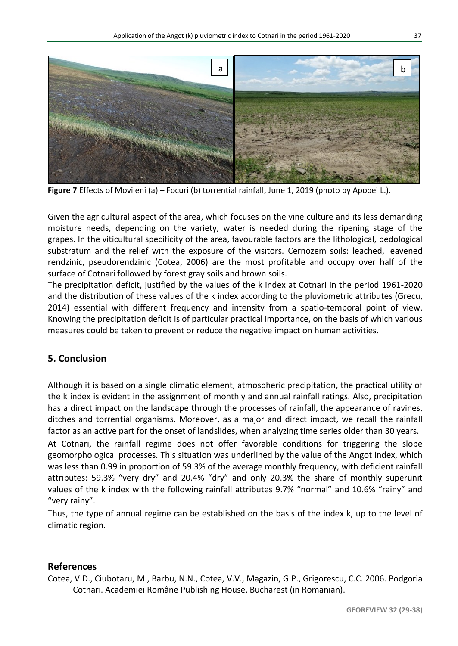

**Figure 7** Effects of Movileni (a) – Focuri (b) torrential rainfall, June 1, 2019 (photo by Apopei L.).

Given the agricultural aspect of the area, which focuses on the vine culture and its less demanding moisture needs, depending on the variety, water is needed during the ripening stage of the grapes. In the viticultural specificity of the area, favourable factors are the lithological, pedological substratum and the relief with the exposure of the visitors. Cernozem soils: leached, leavened rendzinic, pseudorendzinic (Cotea, 2006) are the most profitable and occupy over half of the surface of Cotnari followed by forest gray soils and brown soils.

The precipitation deficit, justified by the values of the k index at Cotnari in the period 1961-2020 and the distribution of these values of the k index according to the pluviometric attributes (Grecu, 2014) essential with different frequency and intensity from a spatio-temporal point of view. Knowing the precipitation deficit is of particular practical importance, on the basis of which various measures could be taken to prevent or reduce the negative impact on human activities.

## **5. Conclusion**

Although it is based on a single climatic element, atmospheric precipitation, the practical utility of the k index is evident in the assignment of monthly and annual rainfall ratings. Also, precipitation has a direct impact on the landscape through the processes of rainfall, the appearance of ravines, ditches and torrential organisms. Moreover, as a major and direct impact, we recall the rainfall factor as an active part for the onset of landslides, when analyzing time series older than 30 years.

At Cotnari, the rainfall regime does not offer favorable conditions for triggering the slope geomorphological processes. This situation was underlined by the value of the Angot index, which was less than 0.99 in proportion of 59.3% of the average monthly frequency, with deficient rainfall attributes: 59.3% "very dry" and 20.4% "dry" and only 20.3% the share of monthly superunit values of the k index with the following rainfall attributes 9.7% "normal" and 10.6% "rainy" and "very rainy".

Thus, the type of annual regime can be established on the basis of the index k, up to the level of climatic region.

## **References**

Cotea, V.D., Ciubotaru, M., Barbu, N.N., Cotea, V.V., Magazin, G.P., Grigorescu, C.C. 2006. Podgoria Cotnari. Academiei Române Publishing House, Bucharest (in Romanian).